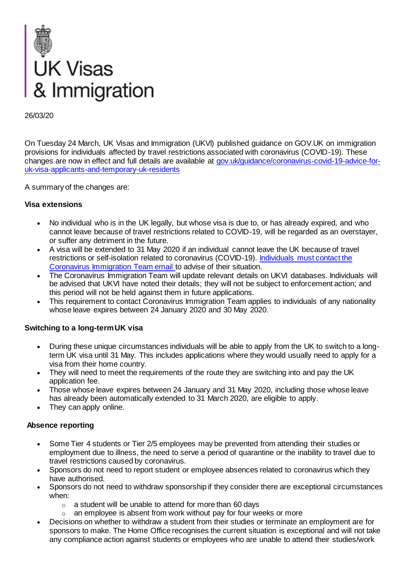

On Tuesday 24 March, UK Visas and Immigration (UKVI) published guidance on GOV.UK on immigration provisions for individuals affected by travel restrictions associated with coronavirus (COVID-19). These changes are now in effect and full details are available at [gov.uk/guidance/coronavirus-covid-19-advice-for](https://response.smartcdn.co.uk/homeofficeR4/mailresponse.asp?tid=19520&em=13803285&turl=http://gov.uk/guidance/coronavirus-covid-19-advice-for-uk-visa-applicants-and-temporary-uk-residents)[uk-visa-applicants-and-temporary-uk-residents](https://response.smartcdn.co.uk/homeofficeR4/mailresponse.asp?tid=19520&em=13803285&turl=http://gov.uk/guidance/coronavirus-covid-19-advice-for-uk-visa-applicants-and-temporary-uk-residents)

A summary of the changes are:

### **Visa extensions**

- No individual who is in the UK legally, but whose visa is due to, or has already expired, and who cannot leave because of travel restrictions related to COVID-19, will be regarded as an overstayer, or suffer any detriment in the future.
- A visa will be extended to 31 May 2020 if an individual cannot leave the UK because of travel restrictions or self-isolation related to coronavirus (COVID-19). [Individuals must contact the](https://response.smartcdn.co.uk/homeofficeR4/mailresponse.asp?tid=19520&em=13803285&turl=https://www.gov.uk/guidance/coronavirus-covid-19-advice-for-uk-visa-applicants-and-temporary-uk-residents|h|helpline)  [Coronavirus Immigration Team email t](https://response.smartcdn.co.uk/homeofficeR4/mailresponse.asp?tid=19520&em=13803285&turl=https://www.gov.uk/guidance/coronavirus-covid-19-advice-for-uk-visa-applicants-and-temporary-uk-residents|h|helpline)o advise of their situation.
- The Coronavirus Immigration Team will update relevant details on UKVI databases. Individuals will be advised that UKVI have noted their details; they will not be subject to enforcement action; and this period will not be held against them in future applications.
- This requirement to contact Coronavirus Immigration Team applies to individuals of any nationality whose leave expires between 24 January 2020 and 30 May 2020.

### **Switching to a long-term UK visa**

- During these unique circumstances individuals will be able to apply from the UK to switch to a longterm UK visa until 31 May. This includes applications where they would usually need to apply for a visa from their home country.
- They will need to meet the requirements of the route they are switching into and pay the UK application fee.
- Those whose leave expires between 24 January and 31 May 2020, including those whose leave has already been automatically extended to 31 March 2020, are eligible to apply.
- They can apply online.

### **Absence reporting**

- Some Tier 4 students or Tier 2/5 employees may be prevented from attending their studies or employment due to illness, the need to serve a period of quarantine or the inability to travel due to travel restrictions caused by coronavirus.
- Sponsors do not need to report student or employee absences related to coronavirus which they have authorised.
- Sponsors do not need to withdraw sponsorship if they consider there are exceptional circumstances when:
	- $\circ$  a student will be unable to attend for more than 60 days
	- $\circ$  an employee is absent from work without pay for four weeks or more
- Decisions on whether to withdraw a student from their studies or terminate an employment are for sponsors to make. The Home Office recognises the current situation is exceptional and will not take any compliance action against students or employees who are unable to attend their studies/work